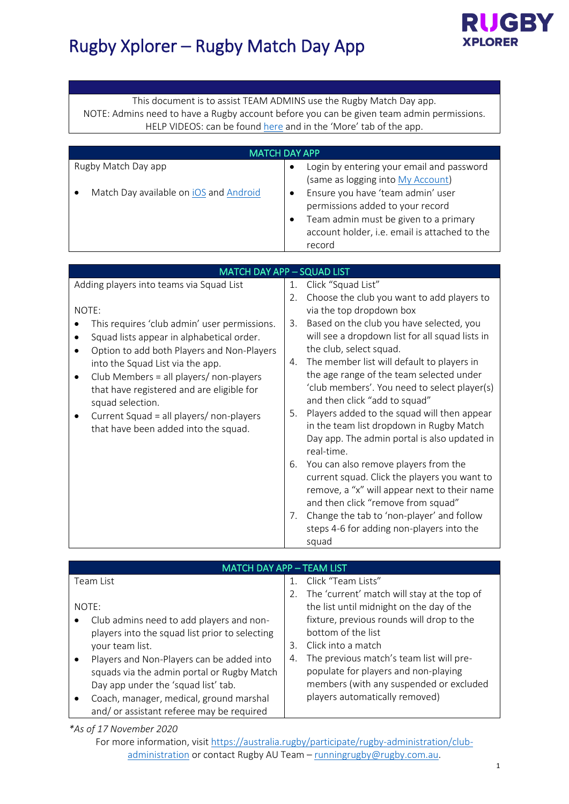

# Rugby Xplorer – Rugby Match Day App

This document is to assist TEAM ADMINS use the Rugby Match Day app. NOTE: Admins need to have a Rugby account before you can be given team admin permissions. HELP VIDEOS: can be found [here](https://australia.rugby/participate/rugby-administration/club-administration/rugby-xplorer-education-and-training) and in the 'More' tab of the app.

|                                                                                                                                                                                                                                                                                                                                                                                                             | <b>MATCH DAY APP</b>                                                                                                                                                                                                                                                                                                                                                                                                                                                        |
|-------------------------------------------------------------------------------------------------------------------------------------------------------------------------------------------------------------------------------------------------------------------------------------------------------------------------------------------------------------------------------------------------------------|-----------------------------------------------------------------------------------------------------------------------------------------------------------------------------------------------------------------------------------------------------------------------------------------------------------------------------------------------------------------------------------------------------------------------------------------------------------------------------|
| Rugby Match Day app<br>Match Day available on iOS and Android                                                                                                                                                                                                                                                                                                                                               | Login by entering your email and password<br>$\bullet$<br>(same as logging into My Account)<br>Ensure you have 'team admin' user<br>$\bullet$<br>permissions added to your record<br>Team admin must be given to a primary<br>$\bullet$<br>account holder, i.e. email is attached to the<br>record                                                                                                                                                                          |
|                                                                                                                                                                                                                                                                                                                                                                                                             |                                                                                                                                                                                                                                                                                                                                                                                                                                                                             |
| <b>MATCH DAY APP - SQUAD LIST</b><br>Adding players into teams via Squad List<br>NOTE:<br>This requires 'club admin' user permissions.<br>Squad lists appear in alphabetical order.<br>Option to add both Players and Non-Players<br>$\bullet$<br>into the Squad List via the app.<br>Club Members = all players/ non-players<br>$\bullet$<br>that have registered and are eligible for<br>squad selection. | 1. Click "Squad List"<br>Choose the club you want to add players to<br>2.<br>via the top dropdown box<br>Based on the club you have selected, you<br>3.<br>will see a dropdown list for all squad lists in<br>the club, select squad.<br>The member list will default to players in<br>4.<br>the age range of the team selected under<br>'club members'. You need to select player(s)<br>and then click "add to squad"<br>Players added to the squad will then appear<br>5. |
| Current Squad = all players/ non-players<br>that have been added into the squad.                                                                                                                                                                                                                                                                                                                            | in the team list dropdown in Rugby Match<br>Day app. The admin portal is also updated in<br>real-time.<br>You can also remove players from the<br>6.<br>current squad. Click the players you want to<br>remove, a "x" will appear next to their name<br>and then click "remove from squad"<br>Change the tab to 'non-player' and follow<br>7.<br>steps 4-6 for adding non-players into the<br>squad                                                                         |

#### MATCH DAY APP – TEAM LIST

| Team List                                             | 1. Click "Team Lists"                          |
|-------------------------------------------------------|------------------------------------------------|
|                                                       | 2. The 'current' match will stay at the top of |
| NOTE:                                                 | the list until midnight on the day of the      |
| Club admins need to add players and non-<br>$\bullet$ | fixture, previous rounds will drop to the      |
| players into the squad list prior to selecting        | bottom of the list                             |
| your team list.                                       | Click into a match<br>3.                       |
| Players and Non-Players can be added into             | The previous match's team list will pre-<br>4. |
| squads via the admin portal or Rugby Match            | populate for players and non-playing           |
| Day app under the 'squad list' tab.                   | members (with any suspended or excluded        |
| Coach, manager, medical, ground marshal               | players automatically removed)                 |
| and/or assistant referee may be required              |                                                |

#### *\*As of 17 November 2020*

For more information, visit [https://australia.rugby/participate/rugby-administration/club](https://australia.rugby/participate/rugby-administration/club-administration)[administration](https://australia.rugby/participate/rugby-administration/club-administration) or contact Rugby AU Team - [runningrugby@rugby.com.au.](mailto:runningrugby@rugby.com.au)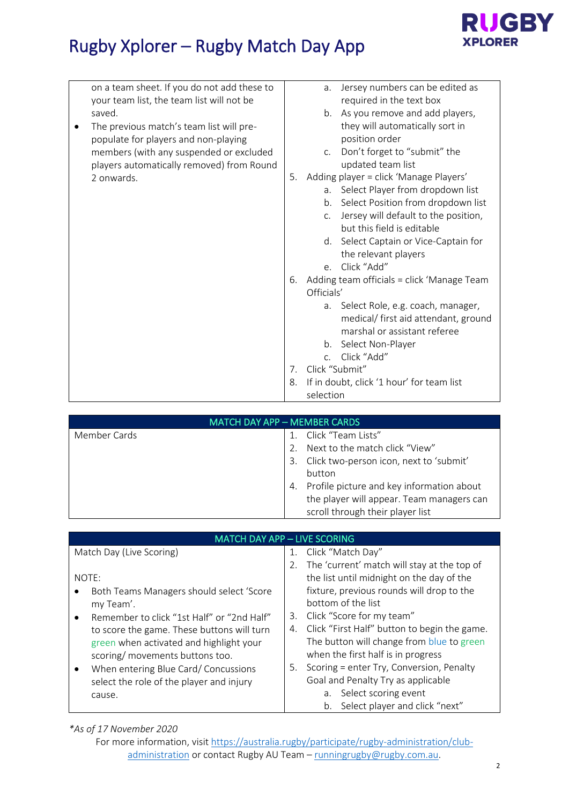

# Rugby Xplorer – Rugby Match Day App

| on a team sheet. If you do not add these to | Jersey numbers can be edited as<br>a.            |
|---------------------------------------------|--------------------------------------------------|
| your team list, the team list will not be   | required in the text box                         |
| saved.                                      | As you remove and add players,<br>$b_{1}$        |
| The previous match's team list will pre-    | they will automatically sort in                  |
| populate for players and non-playing        | position order                                   |
| members (with any suspended or excluded     | Don't forget to "submit" the<br>C.               |
| players automatically removed) from Round   | updated team list                                |
| 2 onwards.                                  | Adding player = click 'Manage Players'<br>5.     |
|                                             | Select Player from dropdown list<br>a.           |
|                                             | Select Position from dropdown list<br>b.         |
|                                             | Jersey will default to the position,<br>C.       |
|                                             | but this field is editable                       |
|                                             | d. Select Captain or Vice-Captain for            |
|                                             | the relevant players                             |
|                                             | Click "Add"<br>$e_{1}$                           |
|                                             | Adding team officials = click 'Manage Team<br>6. |
|                                             | Officials'                                       |
|                                             | Select Role, e.g. coach, manager,<br>a.          |
|                                             | medical/ first aid attendant, ground             |
|                                             | marshal or assistant referee                     |
|                                             | Select Non-Player<br>b.                          |
|                                             | Click "Add"<br>C <sub>1</sub>                    |
|                                             | Click "Submit"<br>7.                             |
|                                             | If in doubt, click '1 hour' for team list<br>8.  |
|                                             | selection                                        |
|                                             |                                                  |

|              | <b>MATCH DAY APP - MEMBER CARDS</b>                                                                                                                                                                             |
|--------------|-----------------------------------------------------------------------------------------------------------------------------------------------------------------------------------------------------------------|
| Member Cards | Click "Team Lists"<br>Next to the match click "View"<br>Click two-person icon, next to 'submit'<br>3.<br>button<br>Profile picture and key information about<br>4.<br>the player will appear. Team managers can |
|              | scroll through their player list                                                                                                                                                                                |

| <b>MATCH DAY APP - LIVE SCORING</b>        |                                                    |  |
|--------------------------------------------|----------------------------------------------------|--|
| Match Day (Live Scoring)                   | 1. Click "Match Day"                               |  |
|                                            | The 'current' match will stay at the top of<br>2.  |  |
| NOTE:                                      | the list until midnight on the day of the          |  |
| Both Teams Managers should select 'Score   | fixture, previous rounds will drop to the          |  |
| my Team'.                                  | bottom of the list                                 |  |
| Remember to click "1st Half" or "2nd Half" | 3. Click "Score for my team"                       |  |
| to score the game. These buttons will turn | Click "First Half" button to begin the game.<br>4. |  |
| green when activated and highlight your    | The button will change from blue to green          |  |
| scoring/ movements buttons too.            | when the first half is in progress                 |  |
| When entering Blue Card/ Concussions       | Scoring = enter Try, Conversion, Penalty<br>5.     |  |
| select the role of the player and injury   | Goal and Penalty Try as applicable                 |  |
| cause.                                     | a. Select scoring event                            |  |
|                                            | b. Select player and click "next"                  |  |

### *\*As of 17 November 2020*

For more information, visit [https://australia.rugby/participate/rugby-administration/club](https://australia.rugby/participate/rugby-administration/club-administration)[administration](https://australia.rugby/participate/rugby-administration/club-administration) or contact Rugby AU Team - [runningrugby@rugby.com.au.](mailto:runningrugby@rugby.com.au)